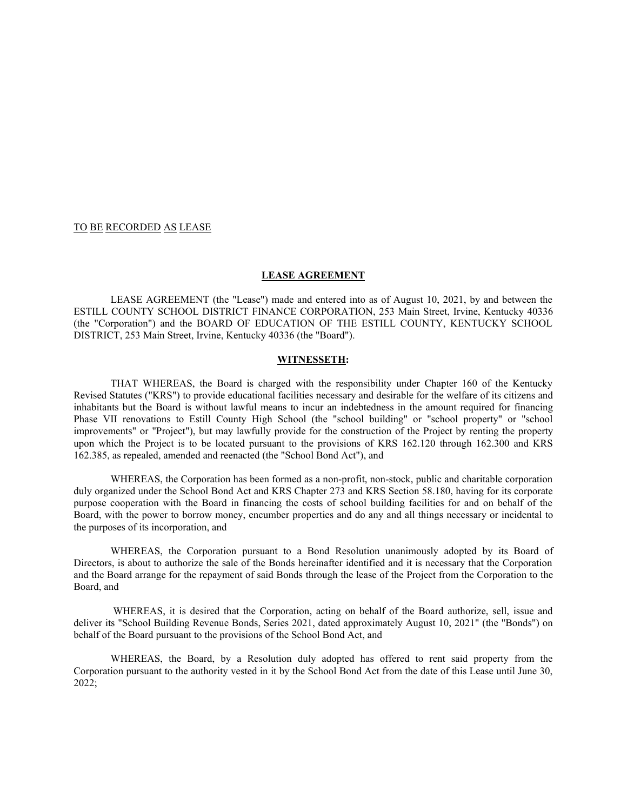## TO BE RECORDED AS LEASE

#### **LEASE AGREEMENT**

LEASE AGREEMENT (the "Lease") made and entered into as of August 10, 2021, by and between the ESTILL COUNTY SCHOOL DISTRICT FINANCE CORPORATION, 253 Main Street, Irvine, Kentucky 40336 (the "Corporation") and the BOARD OF EDUCATION OF THE ESTILL COUNTY, KENTUCKY SCHOOL DISTRICT, 253 Main Street, Irvine, Kentucky 40336 (the "Board").

## **WITNESSETH:**

THAT WHEREAS, the Board is charged with the responsibility under Chapter 160 of the Kentucky Revised Statutes ("KRS") to provide educational facilities necessary and desirable for the welfare of its citizens and inhabitants but the Board is without lawful means to incur an indebtedness in the amount required for financing Phase VII renovations to Estill County High School (the "school building" or "school property" or "school improvements" or "Project"), but may lawfully provide for the construction of the Project by renting the property upon which the Project is to be located pursuant to the provisions of KRS 162.120 through 162.300 and KRS 162.385, as repealed, amended and reenacted (the "School Bond Act"), and

WHEREAS, the Corporation has been formed as a non-profit, non-stock, public and charitable corporation duly organized under the School Bond Act and KRS Chapter 273 and KRS Section 58.180, having for its corporate purpose cooperation with the Board in financing the costs of school building facilities for and on behalf of the Board, with the power to borrow money, encumber properties and do any and all things necessary or incidental to the purposes of its incorporation, and

WHEREAS, the Corporation pursuant to a Bond Resolution unanimously adopted by its Board of Directors, is about to authorize the sale of the Bonds hereinafter identified and it is necessary that the Corporation and the Board arrange for the repayment of said Bonds through the lease of the Project from the Corporation to the Board, and

 WHEREAS, it is desired that the Corporation, acting on behalf of the Board authorize, sell, issue and deliver its "School Building Revenue Bonds, Series 2021, dated approximately August 10, 2021" (the "Bonds") on behalf of the Board pursuant to the provisions of the School Bond Act, and

WHEREAS, the Board, by a Resolution duly adopted has offered to rent said property from the Corporation pursuant to the authority vested in it by the School Bond Act from the date of this Lease until June 30, 2022;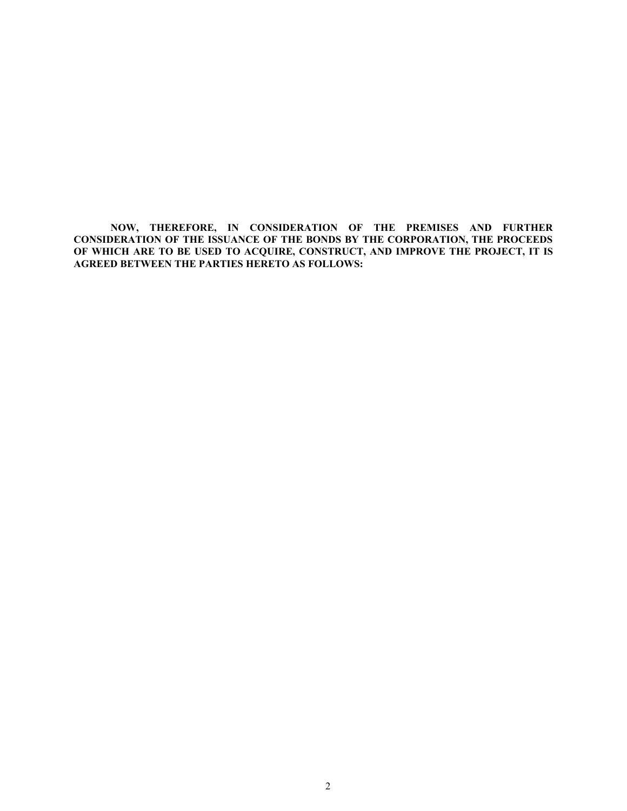**NOW, THEREFORE, IN CONSIDERATION OF THE PREMISES AND FURTHER CONSIDERATION OF THE ISSUANCE OF THE BONDS BY THE CORPORATION, THE PROCEEDS OF WHICH ARE TO BE USED TO ACQUIRE, CONSTRUCT, AND IMPROVE THE PROJECT, IT IS AGREED BETWEEN THE PARTIES HERETO AS FOLLOWS:**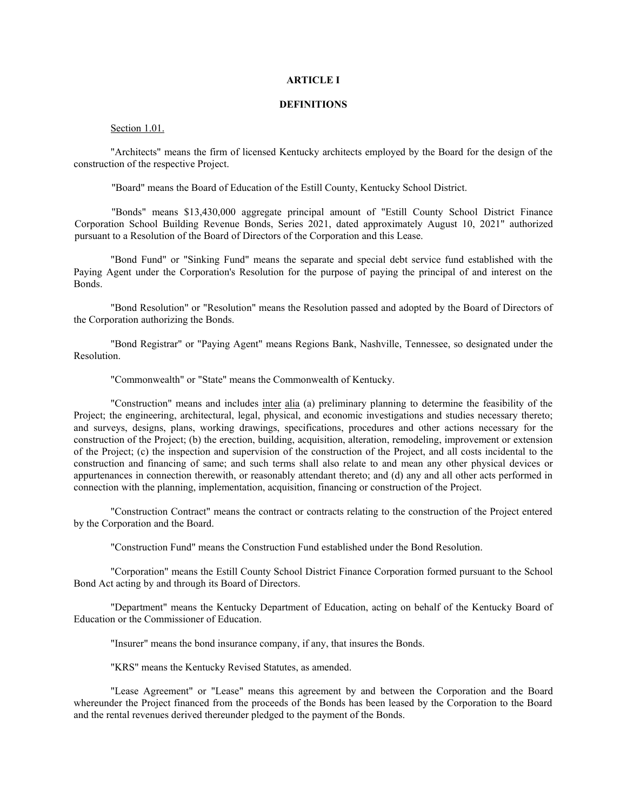## **ARTICLE I**

## **DEFINITIONS**

## Section 1.01.

"Architects" means the firm of licensed Kentucky architects employed by the Board for the design of the construction of the respective Project.

"Board" means the Board of Education of the Estill County, Kentucky School District.

"Bonds" means \$13,430,000 aggregate principal amount of "Estill County School District Finance Corporation School Building Revenue Bonds, Series 2021, dated approximately August 10, 2021" authorized pursuant to a Resolution of the Board of Directors of the Corporation and this Lease.

"Bond Fund" or "Sinking Fund" means the separate and special debt service fund established with the Paying Agent under the Corporation's Resolution for the purpose of paying the principal of and interest on the Bonds.

"Bond Resolution" or "Resolution" means the Resolution passed and adopted by the Board of Directors of the Corporation authorizing the Bonds.

"Bond Registrar" or "Paying Agent" means Regions Bank, Nashville, Tennessee, so designated under the Resolution.

"Commonwealth" or "State" means the Commonwealth of Kentucky.

"Construction" means and includes inter alia (a) preliminary planning to determine the feasibility of the Project; the engineering, architectural, legal, physical, and economic investigations and studies necessary thereto; and surveys, designs, plans, working drawings, specifications, procedures and other actions necessary for the construction of the Project; (b) the erection, building, acquisition, alteration, remodeling, improvement or extension of the Project; (c) the inspection and supervision of the construction of the Project, and all costs incidental to the construction and financing of same; and such terms shall also relate to and mean any other physical devices or appurtenances in connection therewith, or reasonably attendant thereto; and (d) any and all other acts performed in connection with the planning, implementation, acquisition, financing or construction of the Project.

"Construction Contract" means the contract or contracts relating to the construction of the Project entered by the Corporation and the Board.

"Construction Fund" means the Construction Fund established under the Bond Resolution.

"Corporation" means the Estill County School District Finance Corporation formed pursuant to the School Bond Act acting by and through its Board of Directors.

"Department" means the Kentucky Department of Education, acting on behalf of the Kentucky Board of Education or the Commissioner of Education.

"Insurer" means the bond insurance company, if any, that insures the Bonds.

"KRS" means the Kentucky Revised Statutes, as amended.

"Lease Agreement" or "Lease" means this agreement by and between the Corporation and the Board whereunder the Project financed from the proceeds of the Bonds has been leased by the Corporation to the Board and the rental revenues derived thereunder pledged to the payment of the Bonds.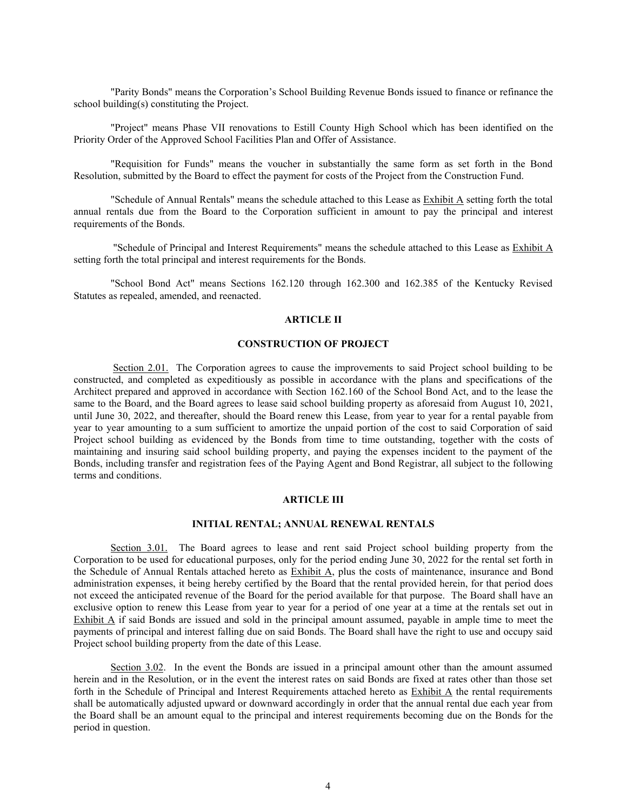"Parity Bonds" means the Corporation's School Building Revenue Bonds issued to finance or refinance the school building(s) constituting the Project.

"Project" means Phase VII renovations to Estill County High School which has been identified on the Priority Order of the Approved School Facilities Plan and Offer of Assistance.

"Requisition for Funds" means the voucher in substantially the same form as set forth in the Bond Resolution, submitted by the Board to effect the payment for costs of the Project from the Construction Fund.

"Schedule of Annual Rentals" means the schedule attached to this Lease as Exhibit A setting forth the total annual rentals due from the Board to the Corporation sufficient in amount to pay the principal and interest requirements of the Bonds.

 "Schedule of Principal and Interest Requirements" means the schedule attached to this Lease as Exhibit A setting forth the total principal and interest requirements for the Bonds.

"School Bond Act" means Sections 162.120 through 162.300 and 162.385 of the Kentucky Revised Statutes as repealed, amended, and reenacted.

## **ARTICLE II**

# **CONSTRUCTION OF PROJECT**

 Section 2.01. The Corporation agrees to cause the improvements to said Project school building to be constructed, and completed as expeditiously as possible in accordance with the plans and specifications of the Architect prepared and approved in accordance with Section 162.160 of the School Bond Act, and to the lease the same to the Board, and the Board agrees to lease said school building property as aforesaid from August 10, 2021, until June 30, 2022, and thereafter, should the Board renew this Lease, from year to year for a rental payable from year to year amounting to a sum sufficient to amortize the unpaid portion of the cost to said Corporation of said Project school building as evidenced by the Bonds from time to time outstanding, together with the costs of maintaining and insuring said school building property, and paying the expenses incident to the payment of the Bonds, including transfer and registration fees of the Paying Agent and Bond Registrar, all subject to the following terms and conditions.

#### **ARTICLE III**

## **INITIAL RENTAL; ANNUAL RENEWAL RENTALS**

Section 3.01. The Board agrees to lease and rent said Project school building property from the Corporation to be used for educational purposes, only for the period ending June 30, 2022 for the rental set forth in the Schedule of Annual Rentals attached hereto as Exhibit A, plus the costs of maintenance, insurance and Bond administration expenses, it being hereby certified by the Board that the rental provided herein, for that period does not exceed the anticipated revenue of the Board for the period available for that purpose. The Board shall have an exclusive option to renew this Lease from year to year for a period of one year at a time at the rentals set out in Exhibit A if said Bonds are issued and sold in the principal amount assumed, payable in ample time to meet the payments of principal and interest falling due on said Bonds. The Board shall have the right to use and occupy said Project school building property from the date of this Lease.

Section 3.02. In the event the Bonds are issued in a principal amount other than the amount assumed herein and in the Resolution, or in the event the interest rates on said Bonds are fixed at rates other than those set forth in the Schedule of Principal and Interest Requirements attached hereto as Exhibit A the rental requirements shall be automatically adjusted upward or downward accordingly in order that the annual rental due each year from the Board shall be an amount equal to the principal and interest requirements becoming due on the Bonds for the period in question.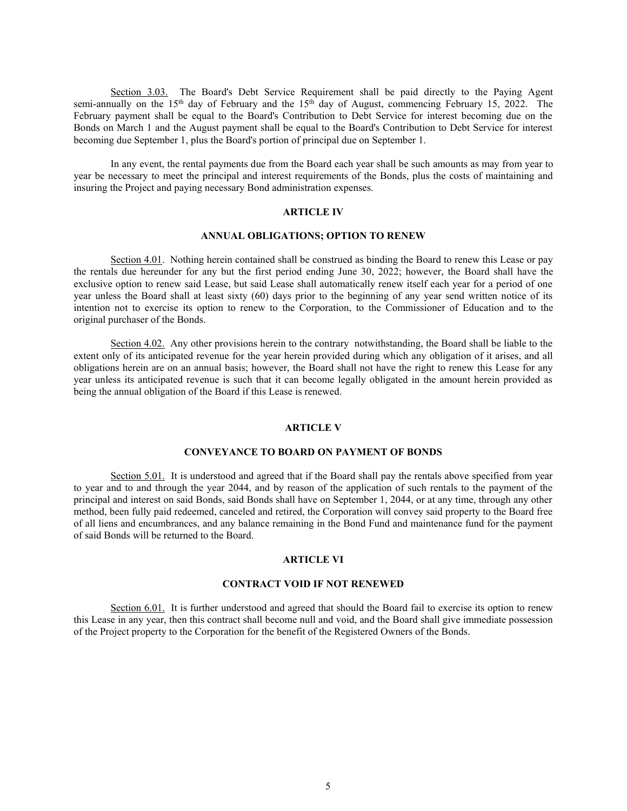Section 3.03. The Board's Debt Service Requirement shall be paid directly to the Paying Agent semi-annually on the 15<sup>th</sup> day of February and the 15<sup>th</sup> day of August, commencing February 15, 2022. The February payment shall be equal to the Board's Contribution to Debt Service for interest becoming due on the Bonds on March 1 and the August payment shall be equal to the Board's Contribution to Debt Service for interest becoming due September 1, plus the Board's portion of principal due on September 1.

In any event, the rental payments due from the Board each year shall be such amounts as may from year to year be necessary to meet the principal and interest requirements of the Bonds, plus the costs of maintaining and insuring the Project and paying necessary Bond administration expenses.

## **ARTICLE IV**

# **ANNUAL OBLIGATIONS; OPTION TO RENEW**

Section 4.01. Nothing herein contained shall be construed as binding the Board to renew this Lease or pay the rentals due hereunder for any but the first period ending June 30, 2022; however, the Board shall have the exclusive option to renew said Lease, but said Lease shall automatically renew itself each year for a period of one year unless the Board shall at least sixty (60) days prior to the beginning of any year send written notice of its intention not to exercise its option to renew to the Corporation, to the Commissioner of Education and to the original purchaser of the Bonds.

Section 4.02. Any other provisions herein to the contrary notwithstanding, the Board shall be liable to the extent only of its anticipated revenue for the year herein provided during which any obligation of it arises, and all obligations herein are on an annual basis; however, the Board shall not have the right to renew this Lease for any year unless its anticipated revenue is such that it can become legally obligated in the amount herein provided as being the annual obligation of the Board if this Lease is renewed.

## **ARTICLE V**

## **CONVEYANCE TO BOARD ON PAYMENT OF BONDS**

Section 5.01. It is understood and agreed that if the Board shall pay the rentals above specified from year to year and to and through the year 2044, and by reason of the application of such rentals to the payment of the principal and interest on said Bonds, said Bonds shall have on September 1, 2044, or at any time, through any other method, been fully paid redeemed, canceled and retired, the Corporation will convey said property to the Board free of all liens and encumbrances, and any balance remaining in the Bond Fund and maintenance fund for the payment of said Bonds will be returned to the Board.

#### **ARTICLE VI**

#### **CONTRACT VOID IF NOT RENEWED**

Section 6.01. It is further understood and agreed that should the Board fail to exercise its option to renew this Lease in any year, then this contract shall become null and void, and the Board shall give immediate possession of the Project property to the Corporation for the benefit of the Registered Owners of the Bonds.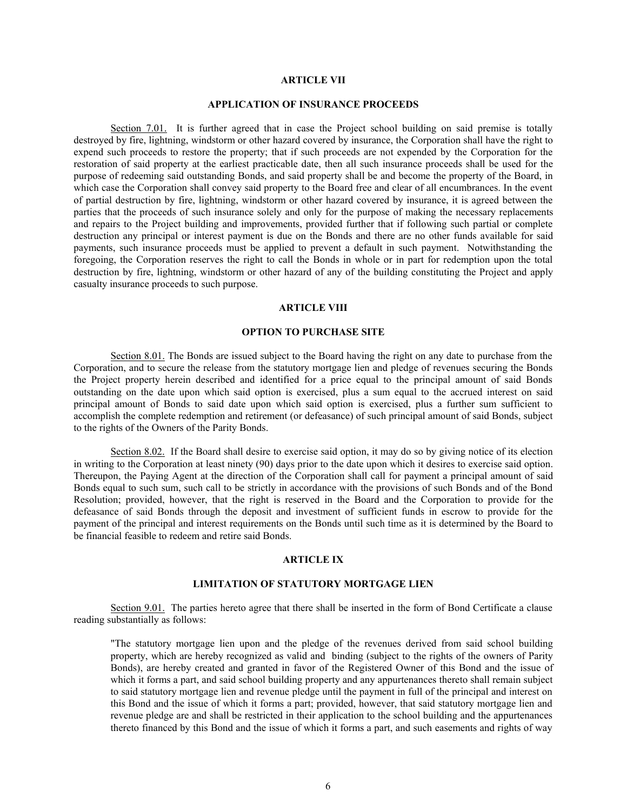#### **ARTICLE VII**

## **APPLICATION OF INSURANCE PROCEEDS**

Section 7.01. It is further agreed that in case the Project school building on said premise is totally destroyed by fire, lightning, windstorm or other hazard covered by insurance, the Corporation shall have the right to expend such proceeds to restore the property; that if such proceeds are not expended by the Corporation for the restoration of said property at the earliest practicable date, then all such insurance proceeds shall be used for the purpose of redeeming said outstanding Bonds, and said property shall be and become the property of the Board, in which case the Corporation shall convey said property to the Board free and clear of all encumbrances. In the event of partial destruction by fire, lightning, windstorm or other hazard covered by insurance, it is agreed between the parties that the proceeds of such insurance solely and only for the purpose of making the necessary replacements and repairs to the Project building and improvements, provided further that if following such partial or complete destruction any principal or interest payment is due on the Bonds and there are no other funds available for said payments, such insurance proceeds must be applied to prevent a default in such payment. Notwithstanding the foregoing, the Corporation reserves the right to call the Bonds in whole or in part for redemption upon the total destruction by fire, lightning, windstorm or other hazard of any of the building constituting the Project and apply casualty insurance proceeds to such purpose.

#### **ARTICLE VIII**

## **OPTION TO PURCHASE SITE**

Section 8.01. The Bonds are issued subject to the Board having the right on any date to purchase from the Corporation, and to secure the release from the statutory mortgage lien and pledge of revenues securing the Bonds the Project property herein described and identified for a price equal to the principal amount of said Bonds outstanding on the date upon which said option is exercised, plus a sum equal to the accrued interest on said principal amount of Bonds to said date upon which said option is exercised, plus a further sum sufficient to accomplish the complete redemption and retirement (or defeasance) of such principal amount of said Bonds, subject to the rights of the Owners of the Parity Bonds.

Section 8.02. If the Board shall desire to exercise said option, it may do so by giving notice of its election in writing to the Corporation at least ninety (90) days prior to the date upon which it desires to exercise said option. Thereupon, the Paying Agent at the direction of the Corporation shall call for payment a principal amount of said Bonds equal to such sum, such call to be strictly in accordance with the provisions of such Bonds and of the Bond Resolution; provided, however, that the right is reserved in the Board and the Corporation to provide for the defeasance of said Bonds through the deposit and investment of sufficient funds in escrow to provide for the payment of the principal and interest requirements on the Bonds until such time as it is determined by the Board to be financial feasible to redeem and retire said Bonds.

#### **ARTICLE IX**

#### **LIMITATION OF STATUTORY MORTGAGE LIEN**

Section 9.01. The parties hereto agree that there shall be inserted in the form of Bond Certificate a clause reading substantially as follows:

"The statutory mortgage lien upon and the pledge of the revenues derived from said school building property, which are hereby recognized as valid and binding (subject to the rights of the owners of Parity Bonds), are hereby created and granted in favor of the Registered Owner of this Bond and the issue of which it forms a part, and said school building property and any appurtenances thereto shall remain subject to said statutory mortgage lien and revenue pledge until the payment in full of the principal and interest on this Bond and the issue of which it forms a part; provided, however, that said statutory mortgage lien and revenue pledge are and shall be restricted in their application to the school building and the appurtenances thereto financed by this Bond and the issue of which it forms a part, and such easements and rights of way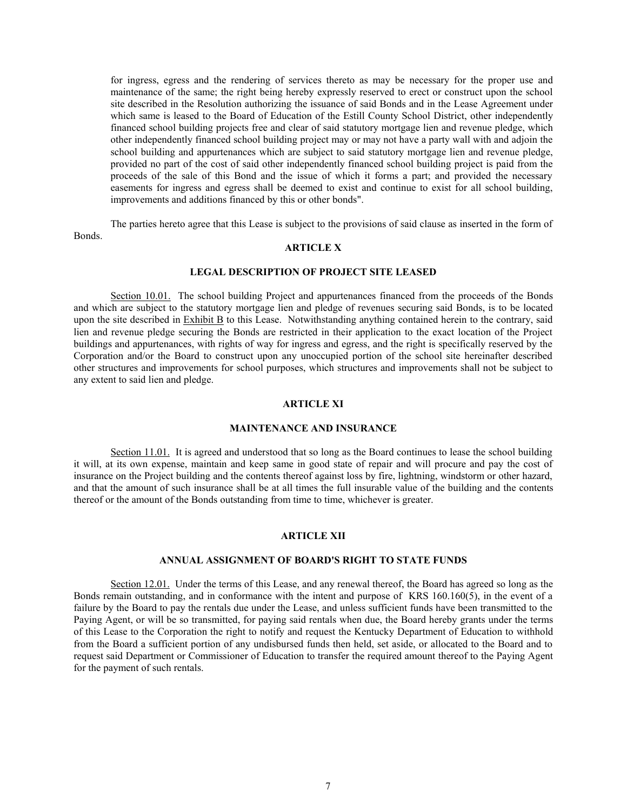for ingress, egress and the rendering of services thereto as may be necessary for the proper use and maintenance of the same; the right being hereby expressly reserved to erect or construct upon the school site described in the Resolution authorizing the issuance of said Bonds and in the Lease Agreement under which same is leased to the Board of Education of the Estill County School District, other independently financed school building projects free and clear of said statutory mortgage lien and revenue pledge, which other independently financed school building project may or may not have a party wall with and adjoin the school building and appurtenances which are subject to said statutory mortgage lien and revenue pledge, provided no part of the cost of said other independently financed school building project is paid from the proceeds of the sale of this Bond and the issue of which it forms a part; and provided the necessary easements for ingress and egress shall be deemed to exist and continue to exist for all school building, improvements and additions financed by this or other bonds".

The parties hereto agree that this Lease is subject to the provisions of said clause as inserted in the form of Bonds.

# **ARTICLE X**

## **LEGAL DESCRIPTION OF PROJECT SITE LEASED**

Section 10.01. The school building Project and appurtenances financed from the proceeds of the Bonds and which are subject to the statutory mortgage lien and pledge of revenues securing said Bonds, is to be located upon the site described in Exhibit B to this Lease. Notwithstanding anything contained herein to the contrary, said lien and revenue pledge securing the Bonds are restricted in their application to the exact location of the Project buildings and appurtenances, with rights of way for ingress and egress, and the right is specifically reserved by the Corporation and/or the Board to construct upon any unoccupied portion of the school site hereinafter described other structures and improvements for school purposes, which structures and improvements shall not be subject to any extent to said lien and pledge.

#### **ARTICLE XI**

## **MAINTENANCE AND INSURANCE**

Section 11.01. It is agreed and understood that so long as the Board continues to lease the school building it will, at its own expense, maintain and keep same in good state of repair and will procure and pay the cost of insurance on the Project building and the contents thereof against loss by fire, lightning, windstorm or other hazard, and that the amount of such insurance shall be at all times the full insurable value of the building and the contents thereof or the amount of the Bonds outstanding from time to time, whichever is greater.

## **ARTICLE XII**

## **ANNUAL ASSIGNMENT OF BOARD'S RIGHT TO STATE FUNDS**

Section 12.01. Under the terms of this Lease, and any renewal thereof, the Board has agreed so long as the Bonds remain outstanding, and in conformance with the intent and purpose of KRS 160.160(5), in the event of a failure by the Board to pay the rentals due under the Lease, and unless sufficient funds have been transmitted to the Paying Agent, or will be so transmitted, for paying said rentals when due, the Board hereby grants under the terms of this Lease to the Corporation the right to notify and request the Kentucky Department of Education to withhold from the Board a sufficient portion of any undisbursed funds then held, set aside, or allocated to the Board and to request said Department or Commissioner of Education to transfer the required amount thereof to the Paying Agent for the payment of such rentals.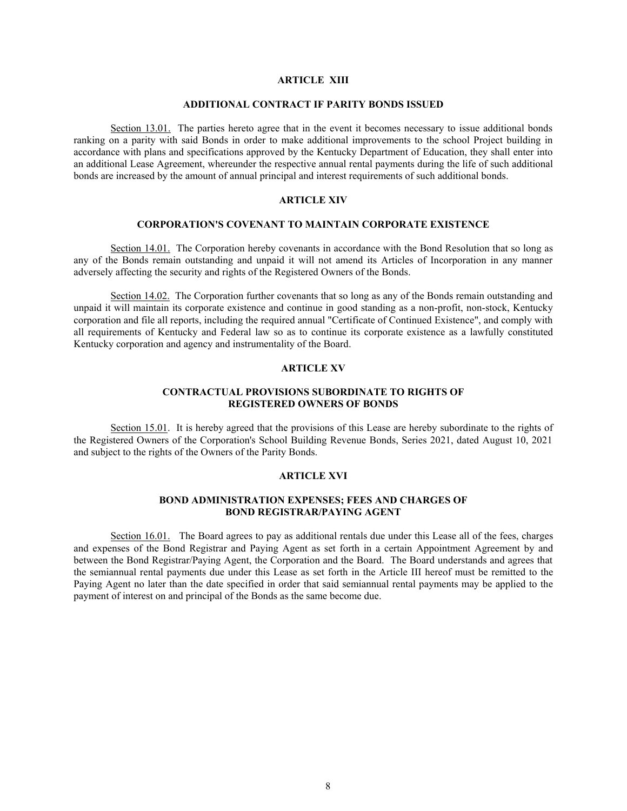# **ARTICLE XIII**

## **ADDITIONAL CONTRACT IF PARITY BONDS ISSUED**

Section 13.01. The parties hereto agree that in the event it becomes necessary to issue additional bonds ranking on a parity with said Bonds in order to make additional improvements to the school Project building in accordance with plans and specifications approved by the Kentucky Department of Education, they shall enter into an additional Lease Agreement, whereunder the respective annual rental payments during the life of such additional bonds are increased by the amount of annual principal and interest requirements of such additional bonds.

## **ARTICLE XIV**

## **CORPORATION'S COVENANT TO MAINTAIN CORPORATE EXISTENCE**

Section 14.01. The Corporation hereby covenants in accordance with the Bond Resolution that so long as any of the Bonds remain outstanding and unpaid it will not amend its Articles of Incorporation in any manner adversely affecting the security and rights of the Registered Owners of the Bonds.

Section 14.02. The Corporation further covenants that so long as any of the Bonds remain outstanding and unpaid it will maintain its corporate existence and continue in good standing as a non-profit, non-stock, Kentucky corporation and file all reports, including the required annual "Certificate of Continued Existence", and comply with all requirements of Kentucky and Federal law so as to continue its corporate existence as a lawfully constituted Kentucky corporation and agency and instrumentality of the Board.

## **ARTICLE XV**

## **CONTRACTUAL PROVISIONS SUBORDINATE TO RIGHTS OF REGISTERED OWNERS OF BONDS**

Section 15.01. It is hereby agreed that the provisions of this Lease are hereby subordinate to the rights of the Registered Owners of the Corporation's School Building Revenue Bonds, Series 2021, dated August 10, 2021 and subject to the rights of the Owners of the Parity Bonds.

## **ARTICLE XVI**

## **BOND ADMINISTRATION EXPENSES; FEES AND CHARGES OF BOND REGISTRAR/PAYING AGENT**

Section 16.01. The Board agrees to pay as additional rentals due under this Lease all of the fees, charges and expenses of the Bond Registrar and Paying Agent as set forth in a certain Appointment Agreement by and between the Bond Registrar/Paying Agent, the Corporation and the Board. The Board understands and agrees that the semiannual rental payments due under this Lease as set forth in the Article III hereof must be remitted to the Paying Agent no later than the date specified in order that said semiannual rental payments may be applied to the payment of interest on and principal of the Bonds as the same become due.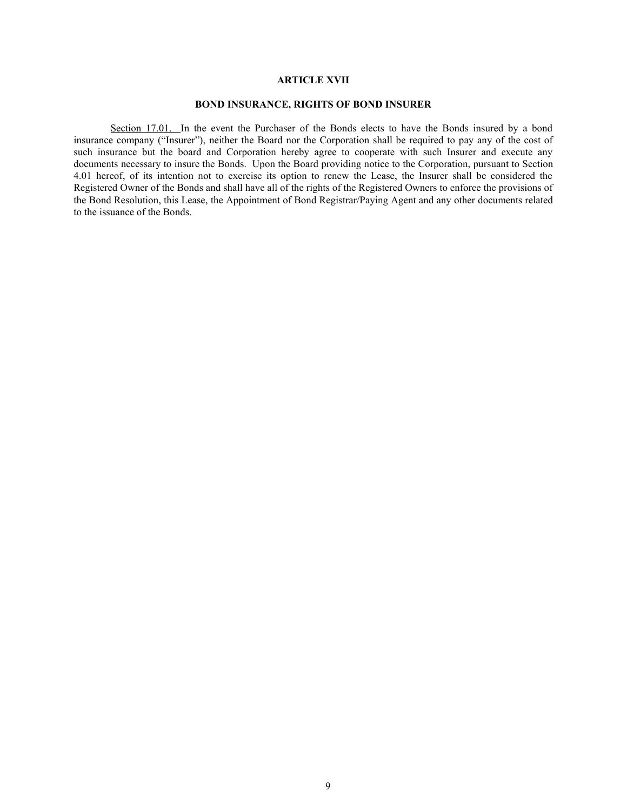## **ARTICLE XVII**

# **BOND INSURANCE, RIGHTS OF BOND INSURER**

Section 17.01. In the event the Purchaser of the Bonds elects to have the Bonds insured by a bond insurance company ("Insurer"), neither the Board nor the Corporation shall be required to pay any of the cost of such insurance but the board and Corporation hereby agree to cooperate with such Insurer and execute any documents necessary to insure the Bonds. Upon the Board providing notice to the Corporation, pursuant to Section 4.01 hereof, of its intention not to exercise its option to renew the Lease, the Insurer shall be considered the Registered Owner of the Bonds and shall have all of the rights of the Registered Owners to enforce the provisions of the Bond Resolution, this Lease, the Appointment of Bond Registrar/Paying Agent and any other documents related to the issuance of the Bonds.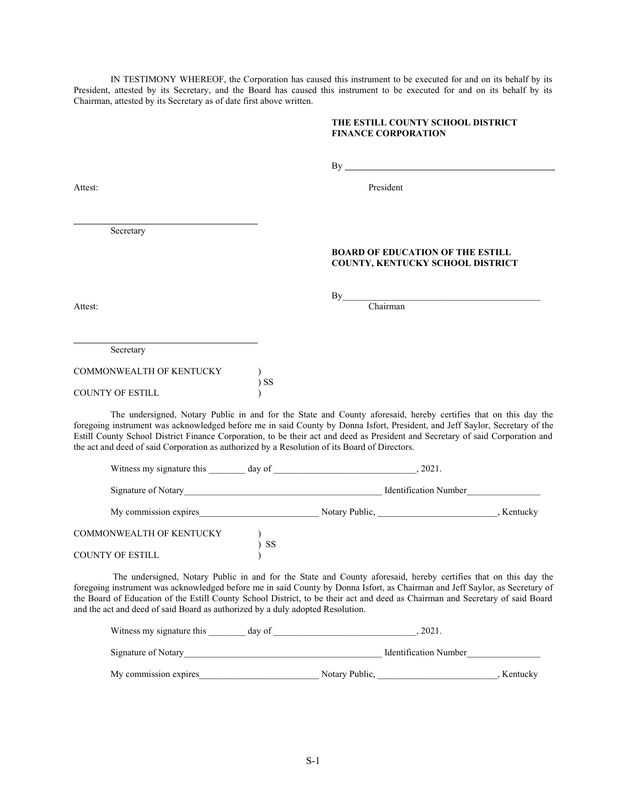IN TESTIMONY WHEREOF, the Corporation has caused this instrument to be executed for and on its behalf by its President, attested by its Secretary, and the Board has caused this instrument to be executed for and on its behalf by its Chairman, attested by its Secretary as of date first above written.

**THE ESTILL COUNTY SCHOOL DISTRICT** 

# **FINANCE CORPORATION** By Attest: President Secretary **BOARD OF EDUCATION OF THE ESTILL COUNTY, KENTUCKY SCHOOL DISTRICT**  $By$ Attest: Chairman  $\overline{a}$ Secretary COMMONWEALTH OF KENTUCKY ) ) SS COUNTY OF ESTILL ) The undersigned, Notary Public in and for the State and County aforesaid, hereby certifies that on this day the foregoing instrument was acknowledged before me in said County by Donna Isfort, President, and Jeff Saylor, Secretary of the Estill County School District Finance Corporation, to be their act and deed as President and Secretary of said Corporation and the act and deed of said Corporation as authorized by a Resolution of its Board of Directors. Witness my signature this \_\_\_\_\_\_\_ day of \_\_\_\_\_\_\_\_\_\_\_\_\_\_\_\_\_\_\_\_\_\_\_\_\_\_\_\_, 2021. Signature of Notary\_\_\_\_\_\_\_\_\_\_\_\_\_\_\_\_\_\_\_\_\_\_\_\_\_\_\_\_\_\_\_\_\_\_\_\_\_\_\_\_\_\_\_ Identification Number\_\_\_\_\_\_\_\_\_\_\_\_\_\_\_\_ My commission expires exprese that the Notary Public, the Notary Public, the Notary Public, the Notary Public,  $\sim$

COMMONWEALTH OF KENTUCKY ) )  $_{\rm SS}$ COUNTY OF ESTILL )

 The undersigned, Notary Public in and for the State and County aforesaid, hereby certifies that on this day the foregoing instrument was acknowledged before me in said County by Donna Isfort, as Chairman and Jeff Saylor, as Secretary of the Board of Education of the Estill County School District, to be their act and deed as Chairman and Secretary of said Board and the act and deed of said Board as authorized by a duly adopted Resolution.

| Witness my signature this | day of | 2021.                        |          |
|---------------------------|--------|------------------------------|----------|
| Signature of Notary       |        | <b>Identification Number</b> |          |
| My commission expires     |        | Notary Public.               | Kentucky |